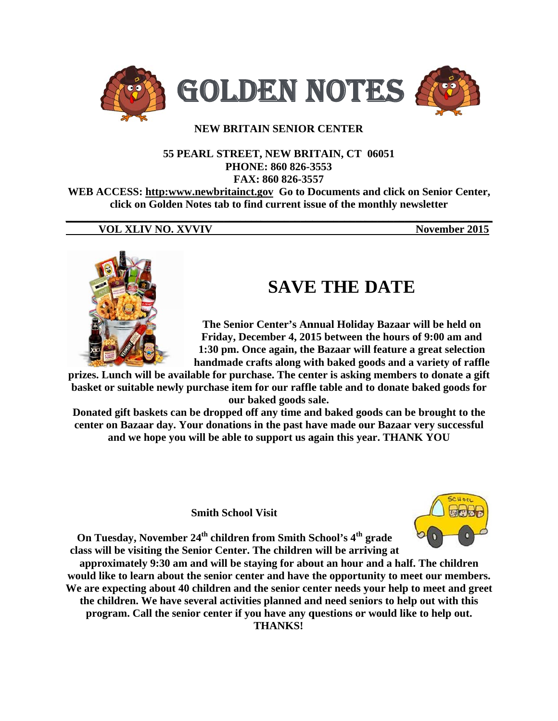

## **NEW BRITAIN SENIOR CENTER**

#### 55 PEARL STREET, NEW BRITAIN, CT 06051 PHONE: 860 826-3553 FAX: 860 826-3557

WEB ACCESS: http:www.newbritainct.gov Go to Documents and click on Senior Center, click on Golden Notes tab to find current issue of the monthly newsletter

### **VOL XLIV NO. XVVIV**

November 2015



# **SAVE THE DATE**

The Senior Center's Annual Holiday Bazaar will be held on Friday, December 4, 2015 between the hours of 9:00 am and 1:30 pm. Once again, the Bazaar will feature a great selection handmade crafts along with baked goods and a variety of raffle

prizes. Lunch will be available for purchase. The center is asking members to donate a gift basket or suitable newly purchase item for our raffle table and to donate baked goods for our baked goods sale.

Donated gift baskets can be dropped off any time and baked goods can be brought to the center on Bazaar day. Your donations in the past have made our Bazaar very successful and we hope you will be able to support us again this year. THANK YOU

**Smith School Visit** 



On Tuesday, November 24<sup>th</sup> children from Smith School's 4<sup>th</sup> grade class will be visiting the Senior Center. The children will be arriving at

approximately 9:30 am and will be staying for about an hour and a half. The children would like to learn about the senior center and have the opportunity to meet our members. We are expecting about 40 children and the senior center needs your help to meet and greet the children. We have several activities planned and need seniors to help out with this program. Call the senior center if you have any questions or would like to help out. **THANKS!**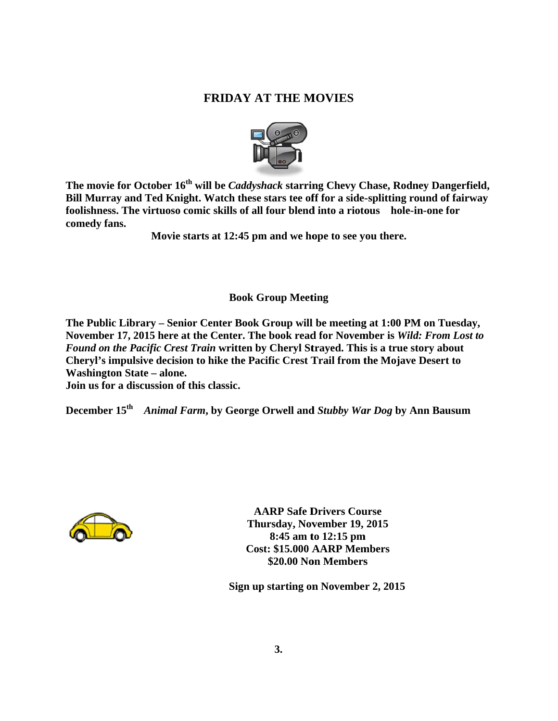# **F FRIDAY A AT THE M MOVIES**



The movie for October 16<sup>th</sup> will be *Caddyshack* starring Chevy Chase, Rodney Dangerfield, Bill Murray and Ted Knight. Watch these stars tee off for a side-splitting round of fairway **foolishness. The virtuoso comic skills of all four blend into a riotous hole-in-one for comedy fans.** 

Movie starts at 12:45 pm and we hope to see you there.

# **Book G Group Meet ting**

The Public Library – Senior Center Book Group will be meeting at 1:00 PM on Tuesday, November 17, 2015 here at the Center. The book read for November is Wild: From Lost to *Found on the Pacific Crest Train* written by Cheryl Strayed. This is a true story about **Cheryl's s impulsive decision to hike the Pa cific Crest T Trail from t the Mojave Desert to Washington State – alone.** 

**Join us f for a discuss sion of this classic.** 

**December 15<sup>th</sup> Animal Farm, by George Orwell and Stubby War Dog by Ann Bausum** 



**A AARP Safe D Drivers Cou urse Th ursday, Nov vember 19, 2015 Cos st: \$15.000 A AARP Mem mmbers 8:45 am t to 12:15 pm \$20.00 No on Members**

 **Sign up p starting on n Novembe sr 2, 2015**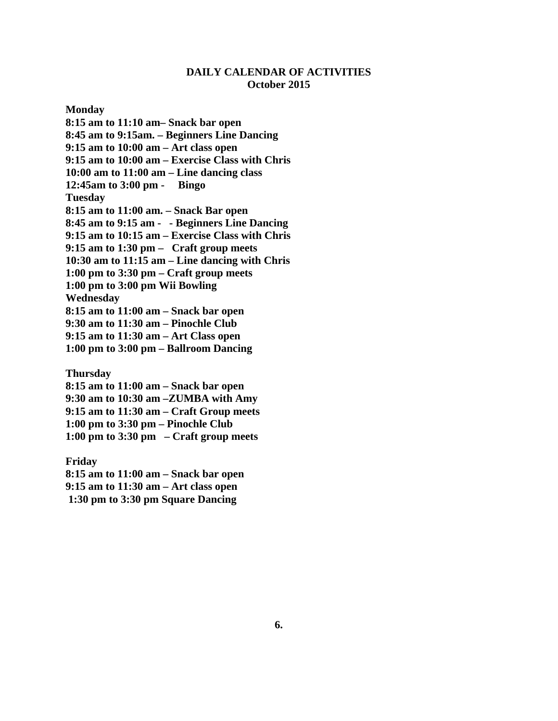## **DAILY CALENDAR OF ACTIVITIES October 2015**

**Monday** 

**8:15 am to 11:10 am– Snack bar open 8:45 am to 9:15am. – Beginners Line Dancing 9:15 am to 10:00 am – Art class open 9:15 am to 10:00 am – Exercise Class with Chris 10:00 am to 11:00 am – Line dancing class 12:45am to 3:00 pm - Bingo Tuesday 8:15 am to 11:00 am. – Snack Bar open 8:45 am to 9:15 am - - Beginners Line Dancing 9:15 am to 10:15 am – Exercise Class with Chris 9:15 am to 1:30 pm – Craft group meets 10:30 am to 11:15 am – Line dancing with Chris 1:00 pm to 3:30 pm – Craft group meets 1:00 pm to 3:00 pm Wii Bowling Wednesday 8:15 am to 11:00 am – Snack bar open 9:30 am to 11:30 am – Pinochle Club 9:15 am to 11:30 am – Art Class open 1:00 pm to 3:00 pm – Ballroom Dancing** 

**Thursday** 

**8:15 am to 11:00 am – Snack bar open 9:30 am to 10:30 am –ZUMBA with Amy 9:15 am to 11:30 am – Craft Group meets 1:00 pm to 3:30 pm – Pinochle Club 1:00 pm to 3:30 pm – Craft group meets** 

**Friday 8:15 am to 11:00 am – Snack bar open 9:15 am to 11:30 am – Art class open 1:30 pm to 3:30 pm Square Dancing**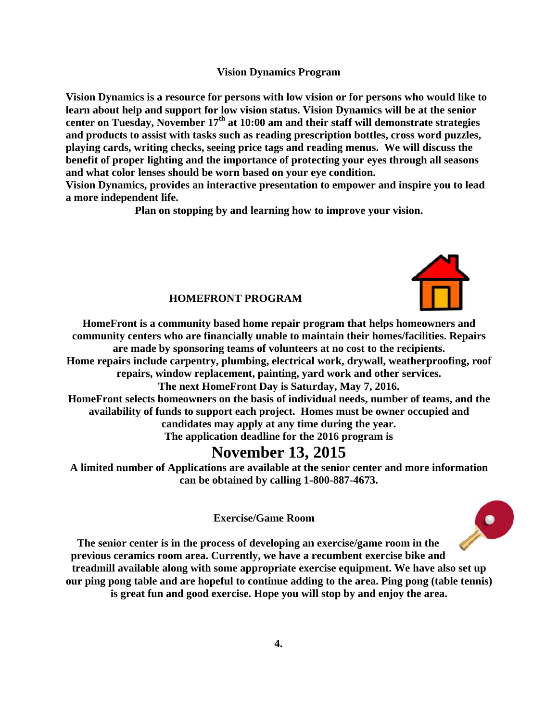#### **Vision Dynamics Program**

**Vision D Dynamics is a resource f for persons with low vi ision or for persons wh ho would lik ke to**  learn about help and support for low vision status. Vision Dynamics will be at the senior center on Tuesday, November 17<sup>th</sup> at 10:00 am and their staff will demonstrate strategies and products to assist with tasks such as reading prescription bottles, cross word puzzles, **playing cards, writing checks, seeing price tags and reading menus. We will discuss the** playing cards, writing checks, seeing price tags and reading menus. We will discuss the<br>benefit of proper lighting and the importance of protecting your eyes through all seasons and what color lenses should be worn based on your eye condition.

Vision Dynamics, provides an interactive presentation to empower and inspire you to lead a more independent life.

Plan on stopping by and learning how to improve your vision.



 $\bullet$ 

#### **HOMEFRONT PROGRAM**

HomeFront is a community based home repair program that helps homeowners and community centers who are financially unable to maintain their homes/facilities. Repairs Home repairs include carpentry, plumbing, electrical work, drywall, weatherproofing, roof HomeFront selects homeowners on the basis of individual needs, number of teams, and the availability of funds to support each project. Homes must be owner occupied and availability of funds to support each project. Homes must be owner occupied and<br>
candidates may apply at any time during the year.<br>
The application deadline for the 2016 program is<br> **NOVEMBET 13, 2015**<br>
A limited number of are made by sponsoring teams of volunteers at no cost to the recipients. repairs, window replacement, painting, yard work and other services. **The next H HomeFront D Day is Satur rday, May 7 7, 2016.**  candidates may apply at any time during the year.

The application deadline for the 2016 program is

# **Novem ber 13, 2015**

**can be e obtained b by calling 1- -800-887-467 73.** 

**Exercise/G Game Room**

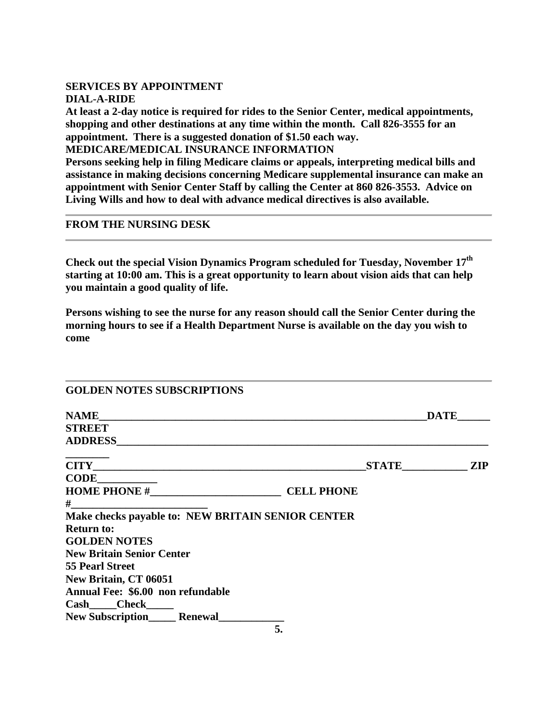### **SERVICES BY APPOINTMENT DIAL-A-RIDE**

**At least a 2-day notice is required for rides to the Senior Center, medical appointments, shopping and other destinations at any time within the month. Call 826-3555 for an appointment. There is a suggested donation of \$1.50 each way.** 

**MEDICARE/MEDICAL INSURANCE INFORMATION** 

**Persons seeking help in filing Medicare claims or appeals, interpreting medical bills and assistance in making decisions concerning Medicare supplemental insurance can make an appointment with Senior Center Staff by calling the Center at 860 826-3553. Advice on Living Wills and how to deal with advance medical directives is also available.** 

### **FROM THE NURSING DESK**

**Check out the special Vision Dynamics Program scheduled for Tuesday, November 17th starting at 10:00 am. This is a great opportunity to learn about vision aids that can help you maintain a good quality of life.** 

**Persons wishing to see the nurse for any reason should call the Senior Center during the morning hours to see if a Health Department Nurse is available on the day you wish to come** 

| <b>GOLDEN NOTES SUBSCRIPTIONS</b>                 |                                                          |             |
|---------------------------------------------------|----------------------------------------------------------|-------------|
|                                                   |                                                          | <b>DATE</b> |
| <b>STREET</b>                                     |                                                          |             |
| <b>ADDRESS</b>                                    | <u> 1989 - John Stein, mars and de Barbara (b. 1989)</u> |             |
|                                                   |                                                          | STATE ZIP   |
| CODE                                              |                                                          |             |
|                                                   | <b>CELL PHONE</b>                                        |             |
| $#$ and $#$                                       |                                                          |             |
| Make checks payable to: NEW BRITAIN SENIOR CENTER |                                                          |             |
| <b>Return to:</b>                                 |                                                          |             |
| <b>GOLDEN NOTES</b>                               |                                                          |             |
| <b>New Britain Senior Center</b>                  |                                                          |             |
| <b>55 Pearl Street</b>                            |                                                          |             |
| New Britain, CT 06051                             |                                                          |             |
| Annual Fee: \$6.00 non refundable                 |                                                          |             |
| $Cash$ $Check$ $)$                                |                                                          |             |
| New Subscription<br><u>Lenewal</u>                |                                                          |             |
|                                                   | 5.                                                       |             |